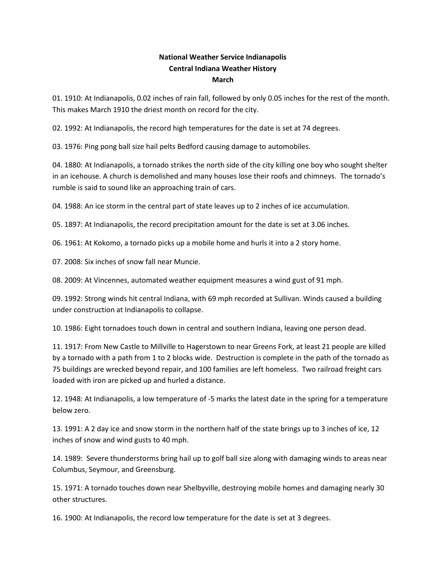## **National Weather Service Indianapolis Central Indiana Weather History March**

01. 1910: At Indianapolis, 0.02 inches of rain fall, followed by only 0.05 inches for the rest of the month. This makes March 1910 the driest month on record for the city.

02. 1992: At Indianapolis, the record high temperatures for the date is set at 74 degrees.

03. 1976: Ping pong ball size hail pelts Bedford causing damage to automobiles.

04. 1880: At Indianapolis, a tornado strikes the north side of the city killing one boy who sought shelter in an icehouse. A church is demolished and many houses lose their roofs and chimneys. The tornado's rumble is said to sound like an approaching train of cars.

04. 1988: An ice storm in the central part of state leaves up to 2 inches of ice accumulation.

05. 1897: At Indianapolis, the record precipitation amount for the date is set at 3.06 inches.

06. 1961: At Kokomo, a tornado picks up a mobile home and hurls it into a 2 story home.

07. 2008: Six inches of snow fall near Muncie.

08. 2009: At Vincennes, automated weather equipment measures a wind gust of 91 mph.

09. 1992: Strong winds hit central Indiana, with 69 mph recorded at Sullivan. Winds caused a building under construction at Indianapolis to collapse.

10. 1986: Eight tornadoes touch down in central and southern Indiana, leaving one person dead.

11. 1917: From New Castle to Millville to Hagerstown to near Greens Fork, at least 21 people are killed by a tornado with a path from 1 to 2 blocks wide. Destruction is complete in the path of the tornado as 75 buildings are wrecked beyond repair, and 100 families are left homeless. Two railroad freight cars loaded with iron are picked up and hurled a distance.

12. 1948: At Indianapolis, a low temperature of -5 marks the latest date in the spring for a temperature below zero.

13. 1991: A 2 day ice and snow storm in the northern half of the state brings up to 3 inches of ice, 12 inches of snow and wind gusts to 40 mph.

14. 1989: Severe thunderstorms bring hail up to golf ball size along with damaging winds to areas near Columbus, Seymour, and Greensburg.

15. 1971: A tornado touches down near Shelbyville, destroying mobile homes and damaging nearly 30 other structures.

16. 1900: At Indianapolis, the record low temperature for the date is set at 3 degrees.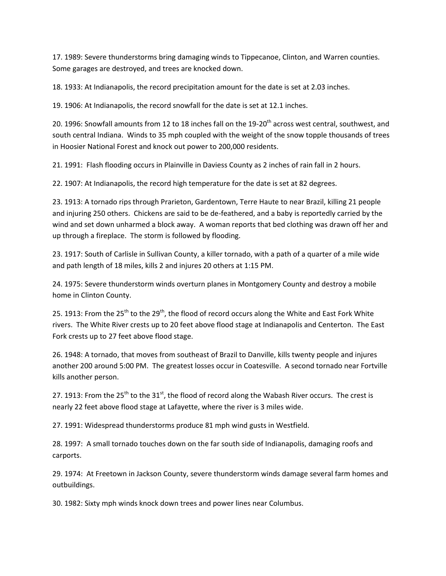17. 1989: Severe thunderstorms bring damaging winds to Tippecanoe, Clinton, and Warren counties. Some garages are destroyed, and trees are knocked down.

18. 1933: At Indianapolis, the record precipitation amount for the date is set at 2.03 inches.

19. 1906: At Indianapolis, the record snowfall for the date is set at 12.1 inches.

20. 1996: Snowfall amounts from 12 to 18 inches fall on the 19-20<sup>th</sup> across west central, southwest, and south central Indiana. Winds to 35 mph coupled with the weight of the snow topple thousands of trees in Hoosier National Forest and knock out power to 200,000 residents.

21. 1991: Flash flooding occurs in Plainville in Daviess County as 2 inches of rain fall in 2 hours.

22. 1907: At Indianapolis, the record high temperature for the date is set at 82 degrees.

23. 1913: A tornado rips through Prarieton, Gardentown, Terre Haute to near Brazil, killing 21 people and injuring 250 others. Chickens are said to be de-feathered, and a baby is reportedly carried by the wind and set down unharmed a block away. A woman reports that bed clothing was drawn off her and up through a fireplace. The storm is followed by flooding.

23. 1917: South of Carlisle in Sullivan County, a killer tornado, with a path of a quarter of a mile wide and path length of 18 miles, kills 2 and injures 20 others at 1:15 PM.

24. 1975: Severe thunderstorm winds overturn planes in Montgomery County and destroy a mobile home in Clinton County.

25. 1913: From the 25<sup>th</sup> to the 29<sup>th</sup>, the flood of record occurs along the White and East Fork White rivers. The White River crests up to 20 feet above flood stage at Indianapolis and Centerton. The East Fork crests up to 27 feet above flood stage.

26. 1948: A tornado, that moves from southeast of Brazil to Danville, kills twenty people and injures another 200 around 5:00 PM. The greatest losses occur in Coatesville. A second tornado near Fortville kills another person.

27. 1913: From the  $25^{th}$  to the  $31^{st}$ , the flood of record along the Wabash River occurs. The crest is nearly 22 feet above flood stage at Lafayette, where the river is 3 miles wide.

27. 1991: Widespread thunderstorms produce 81 mph wind gusts in Westfield.

28. 1997: A small tornado touches down on the far south side of Indianapolis, damaging roofs and carports.

29. 1974: At Freetown in Jackson County, severe thunderstorm winds damage several farm homes and outbuildings.

30. 1982: Sixty mph winds knock down trees and power lines near Columbus.